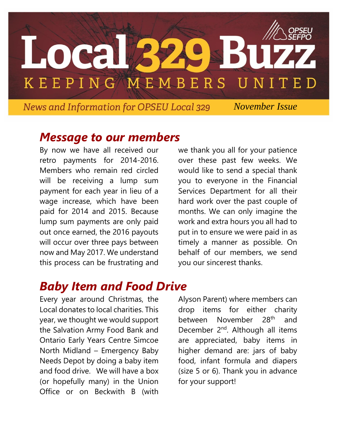

*News and Information for OPSEU Local 329 Movember Issue* 

#### *Message to our members*

By now we have all received our retro payments for 2014-2016. Members who remain red circled will be receiving a lump sum payment for each year in lieu of a wage increase, which have been paid for 2014 and 2015. Because lump sum payments are only paid out once earned, the 2016 payouts will occur over three pays between now and May 2017. We understand this process can be frustrating and

we thank you all for your patience over these past few weeks. We would like to send a special thank you to everyone in the Financial Services Department for all their hard work over the past couple of months. We can only imagine the work and extra hours you all had to put in to ensure we were paid in as timely a manner as possible. On behalf of our members, we send you our sincerest thanks.

# *Baby Item and Food Drive*

Every year around Christmas, the Local donates to local charities. This year, we thought we would support the Salvation Army Food Bank and Ontario Early Years Centre Simcoe North Midland – Emergency Baby Needs Depot by doing a baby item and food drive. We will have a box (or hopefully many) in the Union Office or on Beckwith B (with

Alyson Parent) where members can drop items for either charity between November 28<sup>th</sup> and December 2<sup>nd</sup>. Although all items are appreciated, baby items in higher demand are: jars of baby food, infant formula and diapers (size 5 or 6). Thank you in advance for your support!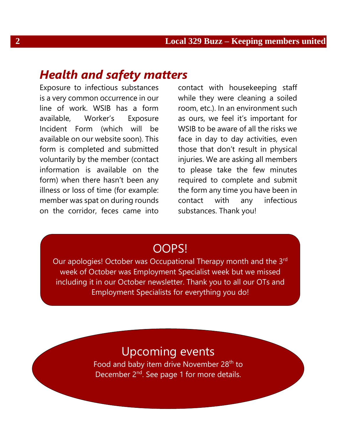## *Health and safety matters*

Exposure to infectious substances is a very common occurrence in our line of work. WSIB has a form available, Worker's Exposure Incident Form (which will be available on our website soon). This form is completed and submitted voluntarily by the member (contact information is available on the form) when there hasn't been any illness or loss of time (for example: member was spat on during rounds on the corridor, feces came into

contact with housekeeping staff while they were cleaning a soiled room, etc.). In an environment such as ours, we feel it's important for WSIB to be aware of all the risks we face in day to day activities, even those that don't result in physical injuries. We are asking all members to please take the few minutes required to complete and submit the form any time you have been in contact with any infectious substances. Thank you!

#### OOPS!

Our apologies! October was Occupational Therapy month and the 3rd week of October was Employment Specialist week but we missed including it in our October newsletter. Thank you to all our OTs and Employment Specialists for everything you do!

### Upcoming events

Food and baby item drive November 28<sup>th</sup> to December 2<sup>nd</sup>. See page 1 for more details.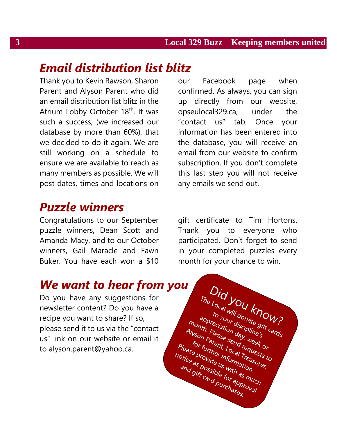## *Email distribution list blitz*

Thank you to Kevin Rawson, Sharon Parent and Alyson Parent who did an email distribution list blitz in the Atrium Lobby October 18<sup>th</sup>. It was such a success, (we increased our database by more than 60%), that we decided to do it again. We are still working on a schedule to ensure we are available to reach as many members as possible. We will post dates, times and locations on

#### *Puzzle winners*

Congratulations to our September puzzle winners, Dean Scott and Amanda Macy, and to our October winners, Gail Maracle and Fawn Buker. You have each won a \$10

our Facebook page when confirmed. As always, you can sign up directly from our website, opseulocal329.ca, under the "contact us" tab. Once your information has been entered into the database, you will receive an email from our website to confirm subscription. If you don't complete this last step you will not receive any emails we send out.

gift certificate to Tim Hortons. Thank you to everyone who participated. Don't forget to send in your completed puzzles every month for your chance to win.

Did you know?

The Local Will donate 9ift cards

to your donate OT<br>phreciation discipline's<br>hth. Please sendy week or<br>on parent Lond request.or<br>in further: Local r quest.or o your disciplines of the asp of the comment of the send reason of the send of the send of the send of the send of the send of the send of the send of the send of the send of the send of the send of the send of the send of month. Pleciation discussion<br>Allyson Parent, Local Treases to<br>for further information<br>ease Provide information.<br>tice as possible with and discussible. an parent send reduced to the control of the send requested to the ast of the send of the send of the send of the send of the send of the send of the send of the send of the send of the send of the send of the send of the Please browned for approval Please Druther information.<br>
Notice as provide information.<br>
And gift card purchases. orde us with as

### *We want to hear from you*

Do you have any suggestions for newsletter content? Do you have a recipe you want to share? If so, please send it to us via the "contact us" link on our website or email it to alyson.parent@yahoo.ca.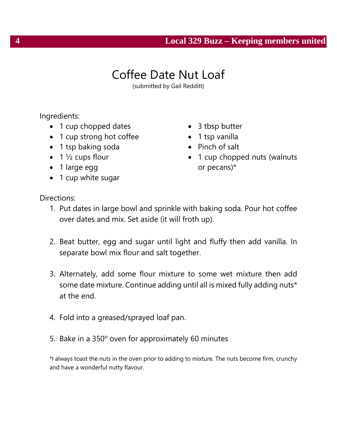#### **4 Local 329 Buzz – Keeping members united**

## Coffee Date Nut Loaf

(submitted by Gail Redditt)

Ingredients:

- 1 cup chopped dates
- 1 cup strong hot coffee
- 1 tsp baking soda
- $\bullet$  1  $\frac{1}{2}$  cups flour
- 1 large egg
- 1 cup white sugar
- 3 tbsp butter
- 1 tsp vanilla
- Pinch of salt
- 1 cup chopped nuts (walnuts or pecans)\*

Directions:

- 1. Put dates in large bowl and sprinkle with baking soda. Pour hot coffee over dates and mix. Set aside (it will froth up).
- 2. Beat butter, egg and sugar until light and fluffy then add vanilla. In separate bowl mix flour and salt together.
- 3. Alternately, add some flour mixture to some wet mixture then add some date mixture. Continue adding until all is mixed fully adding nuts\* at the end.
- 4. Fold into a greased/sprayed loaf pan.
- 5. Bake in a  $350^\circ$  oven for approximately 60 minutes

\*I always toast the nuts in the oven prior to adding to mixture. The nuts become firm, crunchy and have a wonderful nutty flavour.